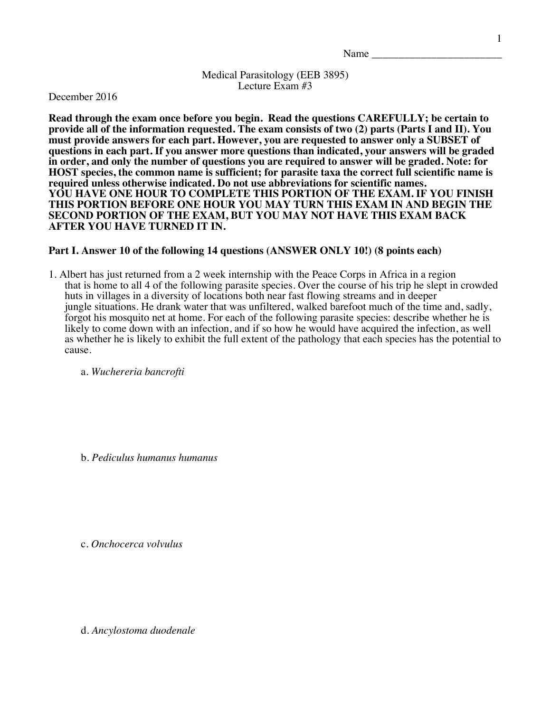Medical Parasitology (EEB 3895) Lecture Exam #3

December 2016

**Read through the exam once before you begin. Read the questions CAREFULLY; be certain to provide all of the information requested. The exam consists of two (2) parts (Parts I and II). You must provide answers for each part. However, you are requested to answer only a SUBSET of questions in each part. If you answer more questions than indicated, your answers will be graded in order, and only the number of questions you are required to answer will be graded. Note: for HOST species, the common name is sufficient; for parasite taxa the correct full scientific name is required unless otherwise indicated. Do not use abbreviations for scientific names. YOU HAVE ONE HOUR TO COMPLETE THIS PORTION OF THE EXAM. IF YOU FINISH THIS PORTION BEFORE ONE HOUR YOU MAY TURN THIS EXAM IN AND BEGIN THE SECOND PORTION OF THE EXAM, BUT YOU MAY NOT HAVE THIS EXAM BACK AFTER YOU HAVE TURNED IT IN.**

## **Part I. Answer 10 of the following 14 questions (ANSWER ONLY 10!) (8 points each)**

1. Albert has just returned from a 2 week internship with the Peace Corps in Africa in a region that is home to all 4 of the following parasite species. Over the course of his trip he slept in crowded huts in villages in a diversity of locations both near fast flowing streams and in deeper jungle situations. He drank water that was unfiltered, walked barefoot much of the time and, sadly, forgot his mosquito net at home. For each of the following parasite species: describe whether he is likely to come down with an infection, and if so how he would have acquired the infection, as well as whether he is likely to exhibit the full extent of the pathology that each species has the potential to cause.

a. *Wuchereria bancrofti*

b. *Pediculus humanus humanus*

c. *Onchocerca volvulus*

d. *Ancylostoma duodenale*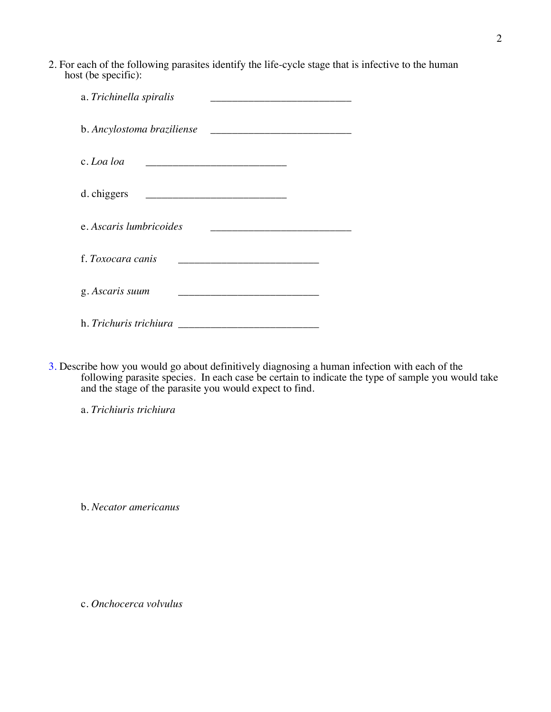2. For each of the following parasites identify the life-cycle stage that is infective to the human host (be specific):

| a. Trichinella spiralis                                                                                                            |  |
|------------------------------------------------------------------------------------------------------------------------------------|--|
| b. Ancylostoma braziliense                                                                                                         |  |
| c. Loa loa<br><u> 1989 - Johann Stein, mars an deutscher Stein und der Stein und der Stein und der Stein und der Stein und der</u> |  |
| d. chiggers                                                                                                                        |  |
| e. Ascaris lumbricoides                                                                                                            |  |
| f. Toxocara canis                                                                                                                  |  |
| g. Ascaris suum                                                                                                                    |  |
| h. <i>Trichuris trichiura</i>                                                                                                      |  |

3. Describe how you would go about definitively diagnosing a human infection with each of the following parasite species. In each case be certain to indicate the type of sample you would take and the stage of the parasite you would expect to find.

a. *Trichiuris trichiura*

b. *Necator americanus*

c. *Onchocerca volvulus*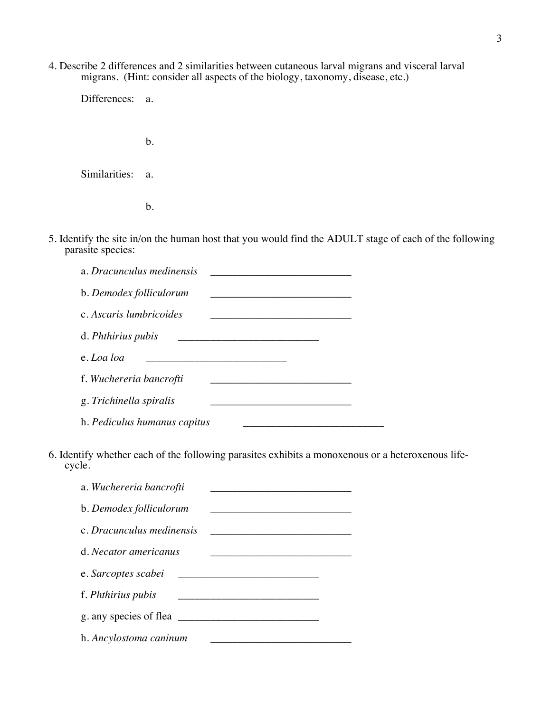4. Describe 2 differences and 2 similarities between cutaneous larval migrans and visceral larval migrans. (Hint: consider all aspects of the biology, taxonomy, disease, etc.)

Differences: a.

b.

Similarities: a.

b.

5. Identify the site in/on the human host that you would find the ADULT stage of each of the following parasite species:

| a. Dracunculus medinensis    |  |
|------------------------------|--|
| b. Demodex folliculorum      |  |
| c. Ascaris lumbricoides      |  |
| d. Phthirius pubis           |  |
| e. Loa loa                   |  |
| f. Wuchereria bancrofti      |  |
| g. Trichinella spiralis      |  |
| h. Pediculus humanus capitus |  |

6. Identify whether each of the following parasites exhibits a monoxenous or a heteroxenous lifecycle.

| a. Wuchereria bancrofti   |  |
|---------------------------|--|
| b. Demodex folliculorum   |  |
| c. Dracunculus medinensis |  |
| d. Necator americanus     |  |
| e. Sarcoptes scabei       |  |
| f. <i>Phthirius pubis</i> |  |
| g. any species of flea    |  |
| h. Ancylostoma caninum    |  |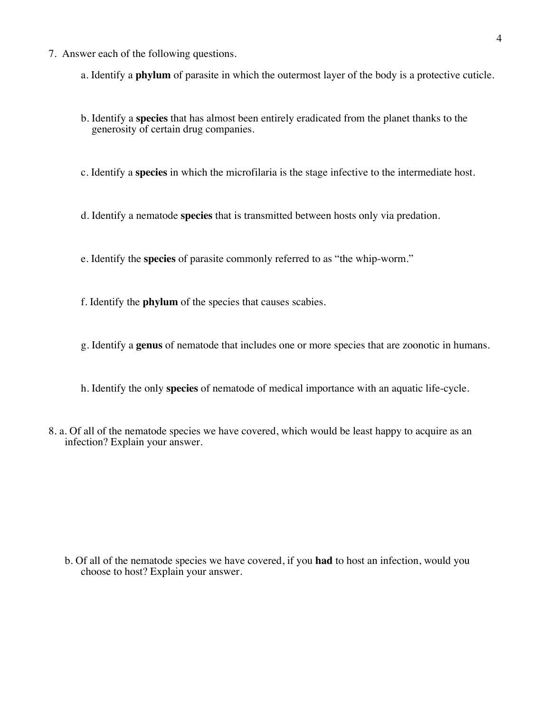- 7. Answer each of the following questions.
	- a. Identify a **phylum** of parasite in which the outermost layer of the body is a protective cuticle.
	- b. Identify a **species** that has almost been entirely eradicated from the planet thanks to the generosity of certain drug companies.
	- c. Identify a **species** in which the microfilaria is the stage infective to the intermediate host.
	- d. Identify a nematode **species** that is transmitted between hosts only via predation.
	- e. Identify the **species** of parasite commonly referred to as "the whip-worm."
	- f. Identify the **phylum** of the species that causes scabies.
	- g. Identify a **genus** of nematode that includes one or more species that are zoonotic in humans.
	- h. Identify the only **species** of nematode of medical importance with an aquatic life-cycle.
- 8. a. Of all of the nematode species we have covered, which would be least happy to acquire as an infection? Explain your answer.

b. Of all of the nematode species we have covered, if you **had** to host an infection, would you choose to host? Explain your answer.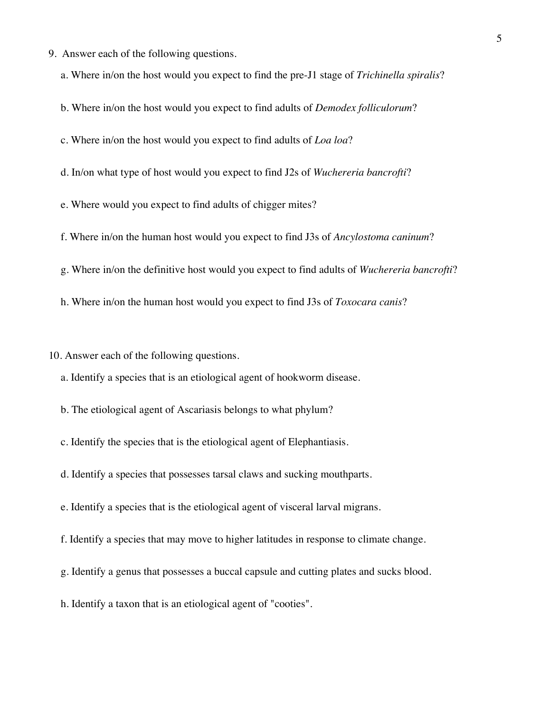- 9. Answer each of the following questions.
	- a. Where in/on the host would you expect to find the pre-J1 stage of *Trichinella spiralis*?
	- b. Where in/on the host would you expect to find adults of *Demodex folliculorum*?
	- c. Where in/on the host would you expect to find adults of *Loa loa*?
	- d. In/on what type of host would you expect to find J2s of *Wuchereria bancrofti*?
	- e. Where would you expect to find adults of chigger mites?
	- f. Where in/on the human host would you expect to find J3s of *Ancylostoma caninum*?
	- g. Where in/on the definitive host would you expect to find adults of *Wuchereria bancrofti*?
	- h. Where in/on the human host would you expect to find J3s of *Toxocara canis*?

10. Answer each of the following questions.

a. Identify a species that is an etiological agent of hookworm disease.

- b. The etiological agent of Ascariasis belongs to what phylum?
- c. Identify the species that is the etiological agent of Elephantiasis.
- d. Identify a species that possesses tarsal claws and sucking mouthparts.
- e. Identify a species that is the etiological agent of visceral larval migrans.
- f. Identify a species that may move to higher latitudes in response to climate change.
- g. Identify a genus that possesses a buccal capsule and cutting plates and sucks blood.
- h. Identify a taxon that is an etiological agent of "cooties".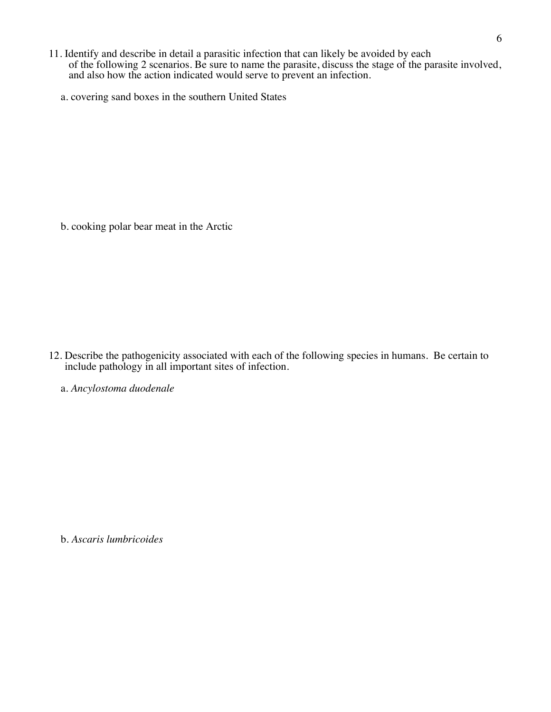- 11. Identify and describe in detail a parasitic infection that can likely be avoided by each of the following 2 scenarios. Be sure to name the parasite, discuss the stage of the parasite involved, and also how the action indicated would serve to prevent an infection.
	- a. covering sand boxes in the southern United States

b. cooking polar bear meat in the Arctic

12. Describe the pathogenicity associated with each of the following species in humans. Be certain to include pathology in all important sites of infection.

a. *Ancylostoma duodenale*

b. *Ascaris lumbricoides*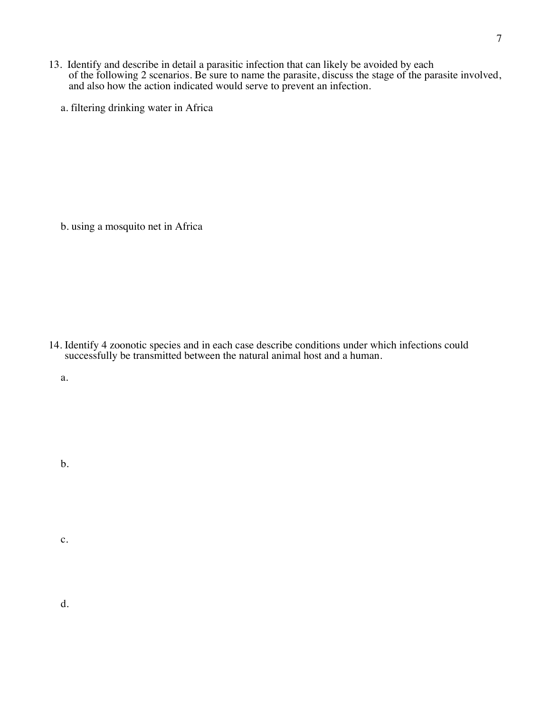- 13. Identify and describe in detail a parasitic infection that can likely be avoided by each of the following 2 scenarios. Be sure to name the parasite, discuss the stage of the parasite involved, and also how the action indicated would serve to prevent an infection.
	- a. filtering drinking water in Africa

b. using a mosquito net in Africa

14. Identify 4 zoonotic species and in each case describe conditions under which infections could successfully be transmitted between the natural animal host and a human.

a.

b.

c.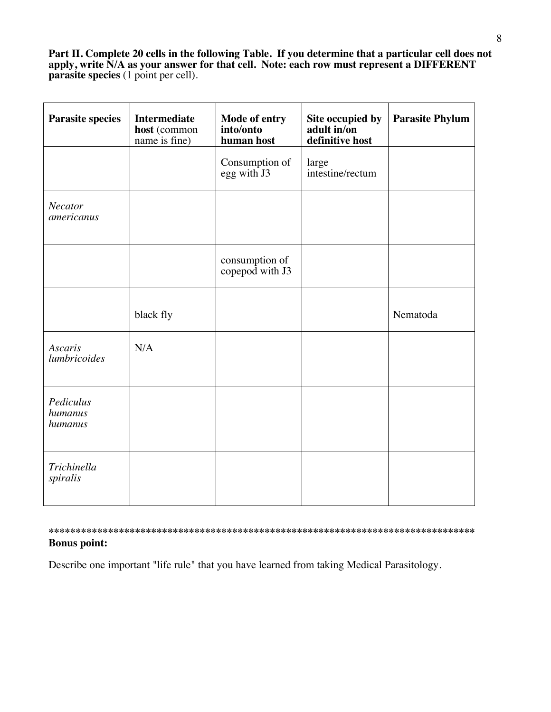**Part II. Complete 20 cells in the following Table. If you determine that a particular cell does not apply, write N/A as your answer for that cell. Note: each row must represent a DIFFERENT parasite species** (1 point per cell).

| <b>Parasite species</b>         | <b>Intermediate</b><br>host (common<br>name is fine) | Mode of entry<br>into/onto<br>human host | Site occupied by<br>adult in/on<br>definitive host | <b>Parasite Phylum</b> |
|---------------------------------|------------------------------------------------------|------------------------------------------|----------------------------------------------------|------------------------|
|                                 |                                                      | Consumption of<br>egg with J3            | large<br>intestine/rectum                          |                        |
| Necator<br>americanus           |                                                      |                                          |                                                    |                        |
|                                 |                                                      | consumption of<br>copepod with J3        |                                                    |                        |
|                                 | black fly                                            |                                          |                                                    | Nematoda               |
| <b>Ascaris</b><br>lumbricoides  | N/A                                                  |                                          |                                                    |                        |
| Pediculus<br>humanus<br>humanus |                                                      |                                          |                                                    |                        |
| Trichinella<br>spiralis         |                                                      |                                          |                                                    |                        |

## **\*\*\*\*\*\*\*\*\*\*\*\*\*\*\*\*\*\*\*\*\*\*\*\*\*\*\*\*\*\*\*\*\*\*\*\*\*\*\*\*\*\*\*\*\*\*\*\*\*\*\*\*\*\*\*\*\*\*\*\*\*\*\*\*\*\*\*\*\*\*\*\*\*\*\*\*\*\*\* Bonus point:**

Describe one important "life rule" that you have learned from taking Medical Parasitology.